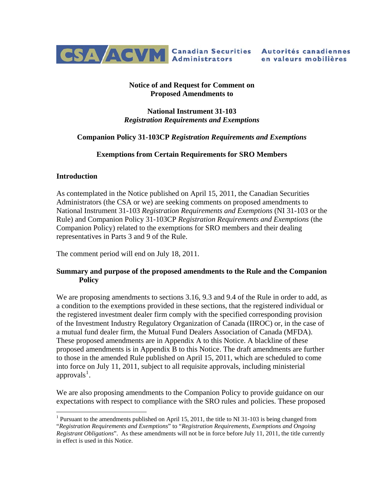

### **Notice of and Request for Comment on Proposed Amendments to**

**National Instrument 31-103**  *Registration Requirements and Exemptions*

### **Companion Policy 31-103CP** *Registration Requirements and Exemptions*

### **Exemptions from Certain Requirements for SRO Members**

#### **Introduction**

 $\overline{a}$ 

As contemplated in the Notice published on April 15, 2011, the Canadian Securities Administrators (the CSA or we) are seeking comments on proposed amendments to National Instrument 31-103 *Registration Requirements and Exemptions* (NI 31-103 or the Rule) and Companion Policy 31-103CP *Registration Requirements and Exemptions* (the Companion Policy) related to the exemptions for SRO members and their dealing representatives in Parts 3 and 9 of the Rule.

The comment period will end on July 18, 2011.

### **Summary and purpose of the proposed amendments to the Rule and the Companion Policy**

We are proposing amendments to sections 3.16, 9.3 and 9.4 of the Rule in order to add, as a condition to the exemptions provided in these sections, that the registered individual or the registered investment dealer firm comply with the specified corresponding provision of the Investment Industry Regulatory Organization of Canada (IIROC) or, in the case of a mutual fund dealer firm, the Mutual Fund Dealers Association of Canada (MFDA). These proposed amendments are in Appendix A to this Notice. A blackline of these proposed amendments is in Appendix B to this Notice. The draft amendments are further to those in the amended Rule published on April 15, 2011, which are scheduled to come into force on July 11, 2011, subject to all requisite approvals, including ministerial approvals<sup>[1](#page-0-0)</sup>.

We are also proposing amendments to the Companion Policy to provide guidance on our expectations with respect to compliance with the SRO rules and policies. These proposed

<span id="page-0-0"></span><sup>&</sup>lt;sup>1</sup> Pursuant to the amendments published on April 15, 2011, the title to NI 31-103 is being changed from "*Registration Requirements and Exemptions*" to "*Registration Requirements, Exemptions and Ongoing Registrant Obligations*". As these amendments will not be in force before July 11, 2011, the title currently in effect is used in this Notice.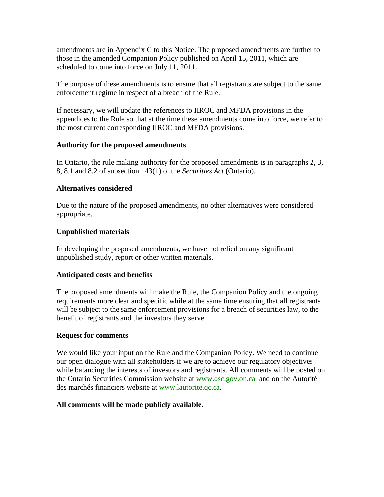amendments are in Appendix C to this Notice. The proposed amendments are further to those in the amended Companion Policy published on April 15, 2011, which are scheduled to come into force on July 11, 2011.

The purpose of these amendments is to ensure that all registrants are subject to the same enforcement regime in respect of a breach of the Rule.

If necessary, we will update the references to IIROC and MFDA provisions in the appendices to the Rule so that at the time these amendments come into force, we refer to the most current corresponding IIROC and MFDA provisions.

#### **Authority for the proposed amendments**

In Ontario, the rule making authority for the proposed amendments is in paragraphs 2, 3, 8, 8.1 and 8.2 of subsection 143(1) of the *Securities Act* (Ontario).

### **Alternatives considered**

Due to the nature of the proposed amendments, no other alternatives were considered appropriate.

### **Unpublished materials**

In developing the proposed amendments, we have not relied on any significant unpublished study, report or other written materials.

### **Anticipated costs and benefits**

The proposed amendments will make the Rule, the Companion Policy and the ongoing requirements more clear and specific while at the same time ensuring that all registrants will be subject to the same enforcement provisions for a breach of securities law, to the benefit of registrants and the investors they serve.

#### **Request for comments**

We would like your input on the Rule and the Companion Policy. We need to continue our open dialogue with all stakeholders if we are to achieve our regulatory objectives while balancing the interests of investors and registrants. All comments will be posted on the Ontario Securities Commission website at [www.osc.gov.on.ca](http://www.osc.gov.on.ca/) and on the Autorité des marchés financiers website at [www.lautorite.qc.ca.](http://www.lautorite.qc.ca/)

#### **All comments will be made publicly available.**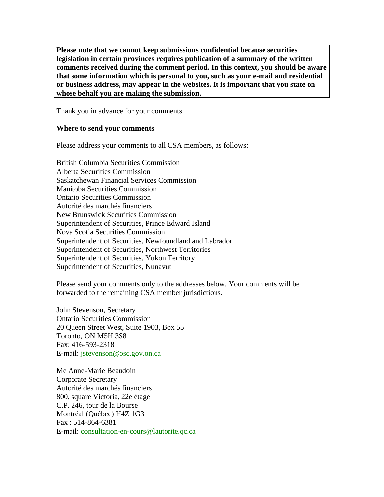**Please note that we cannot keep submissions confidential because securities legislation in certain provinces requires publication of a summary of the written comments received during the comment period. In this context, you should be aware that some information which is personal to you, such as your e-mail and residential or business address, may appear in the websites. It is important that you state on whose behalf you are making the submission.** 

Thank you in advance for your comments.

#### **Where to send your comments**

Please address your comments to all CSA members, as follows:

British Columbia Securities Commission Alberta Securities Commission Saskatchewan Financial Services Commission Manitoba Securities Commission Ontario Securities Commission Autorité des marchés financiers New Brunswick Securities Commission Superintendent of Securities, Prince Edward Island Nova Scotia Securities Commission Superintendent of Securities, Newfoundland and Labrador Superintendent of Securities, Northwest Territories Superintendent of Securities, Yukon Territory Superintendent of Securities, Nunavut

Please send your comments only to the addresses below. Your comments will be forwarded to the remaining CSA member jurisdictions.

John Stevenson, Secretary Ontario Securities Commission 20 Queen Street West, Suite 1903, Box 55 Toronto, ON M5H 3S8 Fax: 416-593-2318 E-mail: [jstevenson@osc.gov.on.ca](mailto:jstevenson@osc.gov.on.ca)

Me Anne-Marie Beaudoin Corporate Secretary Autorité des marchés financiers 800, square Victoria, 22e étage C.P. 246, tour de la Bourse Montréal (Québec) H4Z 1G3 Fax : 514-864-6381 E-mail: [consultation-en-cours@lautorite.qc.ca](mailto:consultation-en-cours@lautorite.qc.ca)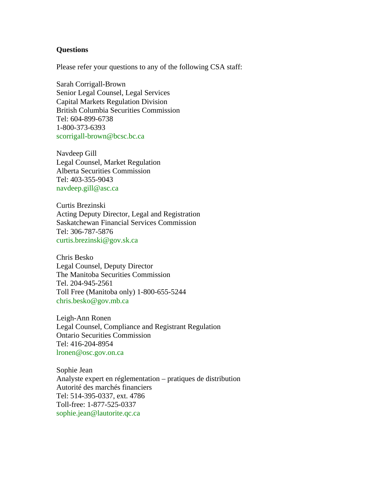#### **Questions**

Please refer your questions to any of the following CSA staff:

Sarah Corrigall-Brown Senior Legal Counsel, Legal Services Capital Markets Regulation Division British Columbia Securities Commission Tel: 604-899-6738 1-800-373-6393 [scorrigall-brown@bcsc.bc.ca](mailto:scorrigall-brown@bcsc.bc.ca)

Navdeep Gill Legal Counsel, Market Regulation Alberta Securities Commission Tel: 403-355-9043 [navdeep.gill@asc.ca](mailto:navdeep.gill@asc.ca)

Curtis Brezinski Acting Deputy Director, Legal and Registration Saskatchewan Financial Services Commission Tel: 306-787-5876 [curtis.brezinski@gov.sk.ca](mailto:curtis.brezinski@gov.sk.ca)

Chris Besko Legal Counsel, Deputy Director The Manitoba Securities Commission Tel. 204-945-2561 Toll Free (Manitoba only) 1-800-655-5244 [chris.besko@gov.mb.ca](mailto:chris.besko@gov.mb.ca)

Leigh-Ann Ronen Legal Counsel, Compliance and Registrant Regulation Ontario Securities Commission Tel: 416-204-8954 [lronen@osc.gov.on.ca](mailto:lronen@osc.gov.on.ca)

Sophie Jean Analyste expert en réglementation – pratiques de distribution Autorité des marchés financiers Tel: 514-395-0337, ext. 4786 Toll-free: 1-877-525-0337 [sophie.jean@lautorite.qc.ca](mailto:sophie.jean@lautorite.qc.ca)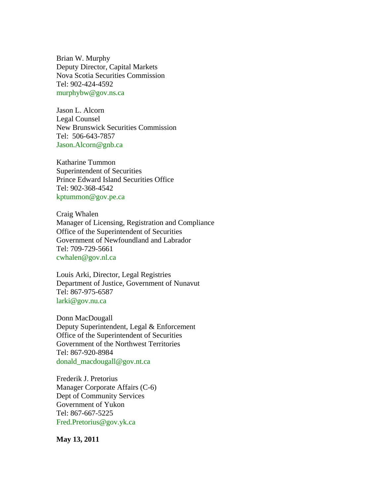Brian W. Murphy Deputy Director, Capital Markets Nova Scotia Securities Commission Tel: 902-424-4592 [murphybw@gov.ns.ca](mailto:murphybw@gov.ns.ca)

Jason L. Alcorn Legal Counsel New Brunswick Securities Commission Tel: 506-643-7857 [Jason.Alcorn@gnb.ca](mailto:Jason.Alcorn@gnb.ca)

Katharine Tummon Superintendent of Securities Prince Edward Island Securities Office Tel: 902-368-4542 [kptummon@gov.pe.ca](mailto:kptummon@gov.pe.ca)

Craig Whalen Manager of Licensing, Registration and Compliance Office of the Superintendent of Securities Government of Newfoundland and Labrador Tel: 709-729-5661 [cwhalen@gov.nl.ca](mailto:cwhalen@gov.nl.ca)

Louis Arki, Director, Legal Registries Department of Justice, Government of Nunavut Tel: 867-975-6587 [larki@gov.nu.ca](mailto:larki@gov.nu.ca)

Donn MacDougall Deputy Superintendent, Legal & Enforcement Office of the Superintendent of Securities Government of the Northwest Territories Tel: 867-920-8984 [donald\\_macdougall@gov.nt.ca](mailto:donald_macdougall@gov.nt.ca)

Frederik J. Pretorius Manager Corporate Affairs (C-6) Dept of Community Services Government of Yukon Tel: 867-667-5225 [Fred.Pretorius@gov.yk.ca](mailto:Fred.Pretorius@gov.yk.ca)

**May 13, 2011**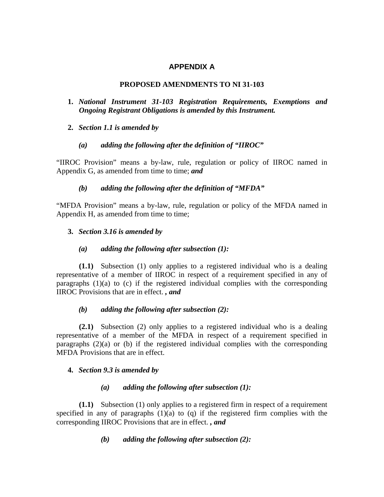# **APPENDIX A**

### **PROPOSED AMENDMENTS TO NI 31-103**

- **1.** *National Instrument 31-103 Registration Requirements, Exemptions and Ongoing Registrant Obligations is amended by this Instrument.*
- **2.** *Section 1.1 is amended by*

### *(a) adding the following after the definition of "IIROC"*

"IIROC Provision" means a by-law, rule, regulation or policy of IIROC named in Appendix G, as amended from time to time; *and*

### *(b) adding the following after the definition of "MFDA"*

"MFDA Provision" means a by-law, rule, regulation or policy of the MFDA named in Appendix H, as amended from time to time;

### **3.** *Section 3.16 is amended by*

### *(a) adding the following after subsection (1):*

**(1.1)** Subsection (1) only applies to a registered individual who is a dealing representative of a member of IIROC in respect of a requirement specified in any of paragraphs  $(1)(a)$  to  $(c)$  if the registered individual complies with the corresponding IIROC Provisions that are in effect. *, and*

### *(b) adding the following after subsection (2):*

**(2.1)** Subsection (2) only applies to a registered individual who is a dealing representative of a member of the MFDA in respect of a requirement specified in paragraphs (2)(a) or (b) if the registered individual complies with the corresponding MFDA Provisions that are in effect.

### **4.** *Section 9.3 is amended by*

### *(a) adding the following after subsection (1):*

**(1.1)** Subsection (1) only applies to a registered firm in respect of a requirement specified in any of paragraphs  $(1)(a)$  to  $(q)$  if the registered firm complies with the corresponding IIROC Provisions that are in effect. *, and*

 *(b) adding the following after subsection (2):*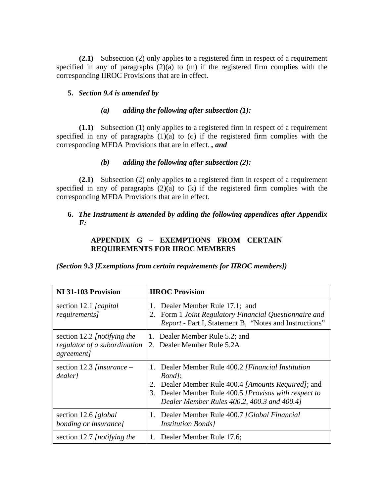**(2.1)** Subsection (2) only applies to a registered firm in respect of a requirement specified in any of paragraphs  $(2)(a)$  to  $(m)$  if the registered firm complies with the corresponding IIROC Provisions that are in effect.

### **5.** *Section 9.4 is amended by*

#### *(a) adding the following after subsection (1):*

**(1.1)** Subsection (1) only applies to a registered firm in respect of a requirement specified in any of paragraphs  $(1)(a)$  to  $(q)$  if the registered firm complies with the corresponding MFDA Provisions that are in effect. *, and*

### *(b) adding the following after subsection (2):*

**(2.1)** Subsection (2) only applies to a registered firm in respect of a requirement specified in any of paragraphs  $(2)(a)$  to  $(k)$  if the registered firm complies with the corresponding MFDA Provisions that are in effect.

### **6.** *The Instrument is amended by adding the following appendices after Appendix F:*

## **APPENDIX G – EXEMPTIONS FROM CERTAIN REQUIREMENTS FOR IIROC MEMBERS**

*(Section 9.3 [Exemptions from certain requirements for IIROC members])* 

| NI 31-103 Provision                                                               | <b>IIROC</b> Provision                                                                                                                                                                                                                 |
|-----------------------------------------------------------------------------------|----------------------------------------------------------------------------------------------------------------------------------------------------------------------------------------------------------------------------------------|
| section 12.1 [capital]<br>requirements]                                           | 1. Dealer Member Rule 17.1; and<br>2. Form 1 Joint Regulatory Financial Questionnaire and<br><i>Report</i> - Part I, Statement B, "Notes and Instructions"                                                                             |
| section 12.2 [notifying the<br>regulator of a subordination<br><i>agreement</i> ] | 1. Dealer Member Rule 5.2; and<br>2. Dealer Member Rule 5.2A                                                                                                                                                                           |
| section 12.3 [insurance $-$<br>dealer]                                            | 1. Dealer Member Rule 400.2 [Financial Institution<br><i>Bond]</i> ;<br>Dealer Member Rule 400.4 [Amounts Required]; and<br>2.<br>3. Dealer Member Rule 400.5 [Provisos with respect to<br>Dealer Member Rules 400.2, 400.3 and 400.4] |
| section 12.6 [global]<br>bonding or insurance]                                    | 1. Dealer Member Rule 400.7 [Global Financial<br><i>Institution Bonds]</i>                                                                                                                                                             |
| section 12.7 [notifying the                                                       | 1. Dealer Member Rule 17.6;                                                                                                                                                                                                            |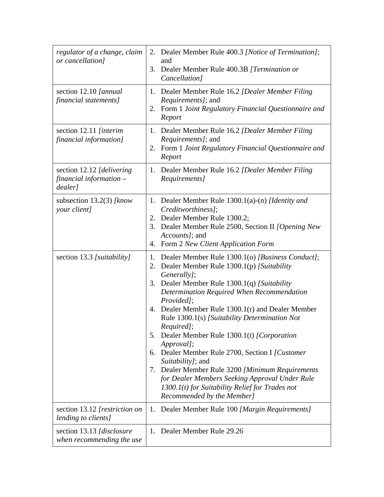| regulator of a change, claim<br>or cancellation]                | 2. Dealer Member Rule 400.3 [Notice of Termination];<br>and<br>3. Dealer Member Rule 400.3B [Termination or<br>Cancellation]                                                                                                                                                                                                                                                                                                                                                                                                                                                                                                                                                                  |
|-----------------------------------------------------------------|-----------------------------------------------------------------------------------------------------------------------------------------------------------------------------------------------------------------------------------------------------------------------------------------------------------------------------------------------------------------------------------------------------------------------------------------------------------------------------------------------------------------------------------------------------------------------------------------------------------------------------------------------------------------------------------------------|
| section 12.10 [annual]<br>financial statements]                 | Dealer Member Rule 16.2 [Dealer Member Filing<br>1.<br><i>Requirements]</i> ; and<br>Form 1 Joint Regulatory Financial Questionnaire and<br>2.<br>Report                                                                                                                                                                                                                                                                                                                                                                                                                                                                                                                                      |
| section 12.11 [interim<br>financial information]                | 1. Dealer Member Rule 16.2 [Dealer Member Filing<br><i>Requirements]</i> ; and<br>Form 1 Joint Regulatory Financial Questionnaire and<br>2.<br>Report                                                                                                                                                                                                                                                                                                                                                                                                                                                                                                                                         |
| section 12.12 [delivering]<br>financial information-<br>dealer] | Dealer Member Rule 16.2 [Dealer Member Filing<br>1.<br>Requirements]                                                                                                                                                                                                                                                                                                                                                                                                                                                                                                                                                                                                                          |
| subsection $13.2(3)$ [know<br>your client]                      | Dealer Member Rule 1300.1(a)-(n) [Identity and<br>1.<br>Creditworthiness];<br>Dealer Member Rule 1300.2;<br>2.<br>Dealer Member Rule 2500, Section II <i>[Opening New</i><br>3.<br>Accounts]; and<br>Form 2 New Client Application Form<br>4.                                                                                                                                                                                                                                                                                                                                                                                                                                                 |
| section 13.3 [suitability]                                      | Dealer Member Rule 1300.1(o) [Business Conduct];<br>1.<br>2. Dealer Member Rule 1300.1(p) [Suitability<br>Generally];<br>Dealer Member Rule 1300.1(q) [Suitability<br>3.<br>Determination Required When Recommendation<br>Provided];<br>4. Dealer Member Rule 1300.1(r) and Dealer Member<br>Rule 1300.1(s) [Suitability Determination Not<br>Required];<br>Dealer Member Rule 1300.1(t) [Corporation<br>5.<br>Approval];<br>6. Dealer Member Rule 2700, Section I [Customer<br>Suitability]; and<br>Dealer Member Rule 3200 [Minimum Requirements<br>7.<br>for Dealer Members Seeking Approval Under Rule<br>$1300.1(t)$ for Suitability Relief for Trades not<br>Recommended by the Member] |
| section 13.12 [restriction on<br>lending to clients]            | Dealer Member Rule 100 [Margin Requirements]<br>1.                                                                                                                                                                                                                                                                                                                                                                                                                                                                                                                                                                                                                                            |
| section 13.13 [disclosure]<br>when recommending the use         | 1. Dealer Member Rule 29.26                                                                                                                                                                                                                                                                                                                                                                                                                                                                                                                                                                                                                                                                   |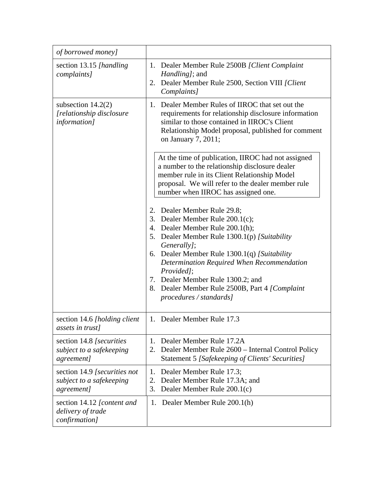| of borrowed money]                                                      |                                                                                                                                                                                                                                                                                                                                                                                                |
|-------------------------------------------------------------------------|------------------------------------------------------------------------------------------------------------------------------------------------------------------------------------------------------------------------------------------------------------------------------------------------------------------------------------------------------------------------------------------------|
| section 13.15 [handling<br>complaints]                                  | 1. Dealer Member Rule 2500B [Client Complaint<br><i>Handling]</i> ; and<br>2. Dealer Member Rule 2500, Section VIII [Client]<br>Complaints]                                                                                                                                                                                                                                                    |
| subsection $14.2(2)$<br>[relationship disclosure<br><i>information]</i> | Dealer Member Rules of IIROC that set out the<br>1.<br>requirements for relationship disclosure information<br>similar to those contained in IIROC's Client<br>Relationship Model proposal, published for comment<br>on January 7, 2011;                                                                                                                                                       |
|                                                                         | At the time of publication, IIROC had not assigned<br>a number to the relationship disclosure dealer<br>member rule in its Client Relationship Model<br>proposal. We will refer to the dealer member rule<br>number when IIROC has assigned one.                                                                                                                                               |
|                                                                         | 2. Dealer Member Rule 29.8;<br>3. Dealer Member Rule 200.1(c);<br>4. Dealer Member Rule 200.1(h);<br>5. Dealer Member Rule 1300.1(p) [Suitability<br>Generally];<br>6. Dealer Member Rule 1300.1(q) [Suitability<br>Determination Required When Recommendation<br>Provided];<br>7. Dealer Member Rule 1300.2; and<br>8. Dealer Member Rule 2500B, Part 4 [Complaint<br>procedures / standards] |
| section 14.6 [holding client]<br><i>assets in trust]</i>                | 1. Dealer Member Rule 17.3                                                                                                                                                                                                                                                                                                                                                                     |
| section 14.8 [securities]<br>subject to a safekeeping<br>agreement]     | Dealer Member Rule 17.2A<br>1.<br>Dealer Member Rule 2600 – Internal Control Policy<br>2.<br>Statement 5 [Safekeeping of Clients' Securities]                                                                                                                                                                                                                                                  |
| section 14.9 [securities not<br>subject to a safekeeping<br>agreement]  | Dealer Member Rule 17.3;<br>1.<br>Dealer Member Rule 17.3A; and<br>2.<br>Dealer Member Rule 200.1(c)<br>3.                                                                                                                                                                                                                                                                                     |
| section 14.12 [content and<br>delivery of trade<br>confirmation]        | 1. Dealer Member Rule 200.1(h)                                                                                                                                                                                                                                                                                                                                                                 |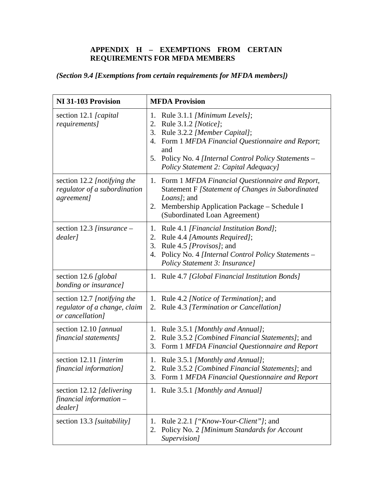## **APPENDIX H – EXEMPTIONS FROM CERTAIN REQUIREMENTS FOR MFDA MEMBERS**

# *(Section 9.4 [Exemptions from certain requirements for MFDA members])*

| NI 31-103 Provision                                                             | <b>MFDA Provision</b>                                                                                                                                                                                                                                              |
|---------------------------------------------------------------------------------|--------------------------------------------------------------------------------------------------------------------------------------------------------------------------------------------------------------------------------------------------------------------|
| section 12.1 [capital]<br>requirements]                                         | 1. Rule 3.1.1 [Minimum Levels];<br>2. Rule 3.1.2 [Notice];<br>Rule 3.2.2 [Member Capital];<br>3.<br>4. Form 1 MFDA Financial Questionnaire and Report;<br>and<br>Policy No. 4 [Internal Control Policy Statements –<br>5.<br>Policy Statement 2: Capital Adequacy] |
| section 12.2 [notifying the<br>regulator of a subordination<br>agreement]       | 1. Form 1 MFDA Financial Questionnaire and Report,<br>Statement F [Statement of Changes in Subordinated<br>Loans]; and<br>2. Membership Application Package – Schedule I<br>(Subordinated Loan Agreement)                                                          |
| section 12.3 [insurance $-$<br>dealer]                                          | Rule 4.1 [Financial Institution Bond];<br>1.<br>2. Rule 4.4 [Amounts Required];<br>Rule 4.5 [ <i>Provisos</i> ]; and<br>3.<br>Policy No. 4 [Internal Control Policy Statements -<br>4.<br>Policy Statement 3: Insurance]                                           |
| section 12.6 [global]<br>bonding or insurance]                                  | 1. Rule 4.7 [Global Financial Institution Bonds]                                                                                                                                                                                                                   |
| section 12.7 [notifying the<br>regulator of a change, claim<br>or cancellation] | Rule 4.2 <i>[Notice of Termination]</i> ; and<br>1.<br>2. Rule 4.3 [Termination or Cancellation]                                                                                                                                                                   |
| section 12.10 [annual]<br>financial statements]                                 | 1. Rule 3.5.1 [Monthly and Annual];<br>Rule 3.5.2 [Combined Financial Statements]; and<br>2.<br>Form 1 MFDA Financial Questionnaire and Report<br>3.                                                                                                               |
| section 12.11 [interim<br>financial information]                                | 1. Rule 3.5.1 [Monthly and Annual];<br>2. Rule 3.5.2 [Combined Financial Statements]; and<br>3. Form 1 MFDA Financial Questionnaire and Report                                                                                                                     |
| section 12.12 [delivering]<br>financial information $-$<br>dealer]              | 1. Rule 3.5.1 [Monthly and Annual]                                                                                                                                                                                                                                 |
| section 13.3 [suitability]                                                      | Rule 2.2.1 ["Know-Your-Client"]; and<br>1.<br>Policy No. 2 [Minimum Standards for Account<br>2.<br>Supervision]                                                                                                                                                    |